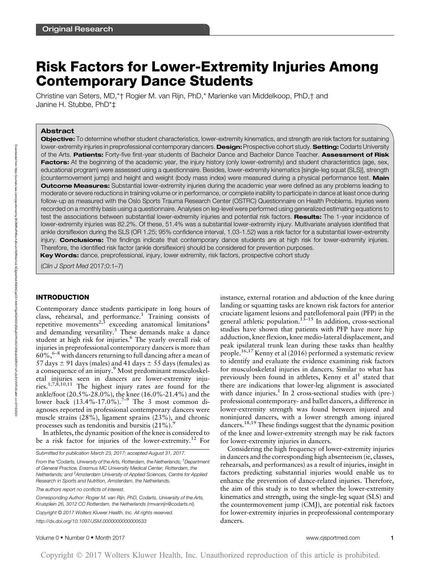# Risk Factors for Lower-Extremity Injuries Among Contemporary Dance Students

Christine van Seters, MD,\*† Rogier M. van Rijn, PhD,\* Marienke van Middelkoop, PhD,† and Janine H. Stubbe, PhD\*‡

# Abstract

Downloaded from

https://journals.lww.com/cjsportsmed

ভ

Objective: To determine whether student characteristics, lower-extremity kinematics, and strength are risk factors for sustaining lower-extremity injuries in preprofessional contemporary dancers. Design: Prospective cohort study. Setting: Codarts University of the Arts. Patients: Forty-five first-year students of Bachelor Dance and Bachelor Dance Teacher. Assessment of Risk Factors: At the beginning of the academic year, the injury history (only lower-extremity) and student characteristics (age, sex, educational program) were assessed using a questionnaire. Besides, lower-extremity kinematics [single-leg squat (SLS)], strength (countermovement jump) and height and weight (body mass index) were measured during a physical performance test. Main **Outcome Measures:** Substantial lower-extremity injuries during the academic year were defined as any problems leading to moderate or severe reductions in training volume or in performance, or complete inability to participate in dance at least once during follow-up as measured with the Oslo Sports Trauma Research Center (OSTRC) Questionnaire on Health Problems. Injuries were recorded on a monthly basis using a questionnaire. Analyses on leg-level were performed using generalized estimating equations to test the associations between substantial lower-extremity injuries and potential risk factors. Results: The 1-year incidence of lower-extremity injuries was 82.2%. Of these, 51.4% was a substantial lower-extremity injury. Multivariate analyses identified that ankle dorsiflexion during the SLS (OR 1.25; 95% confidence interval, 1.03-1.52) was a risk factor for a substantial lower-extremity injury. Conclusions: The findings indicate that contemporary dance students are at high risk for lower-extremity injuries. Therefore, the identified risk factor (ankle dorsiflexion) should be considered for prevention purposes.

Key Words: dance, preprofessional, injury, lower extremity, risk factors, prospective cohort study

(Clin J Sport Med 2017;0:1–7)

# INTRODUCTION

Contemporary dance students participate in long hours of class, rehearsal, and performance.<sup>1</sup> Training consists of repetitive movements<sup>2,3</sup> exceeding anatomical limitations<sup>4</sup> and demanding versatility.<sup>5</sup> These demands make a dance student at high risk for injuries.<sup>6</sup> The yearly overall risk of injuries in preprofessional contemporary dancers is more than  $60\%$ ,  $6-8$  with dancers returning to full dancing after a mean of 57 days  $\pm$  91 days (males) and 41 days  $\pm$  55 days (females) as a consequence of an injury.<sup>9</sup> Most predominant musculoskeletal injuries seen in dancers are lower-extremity injuries.1,7,8,10,11 The highest injury rates are found for the ankle/foot (20.5%-28.0%), the knee (16.0%-21.4%) and the lower back  $(13.4\% -17.0\%)$ .<sup>7-9</sup> The 3 most common diagnoses reported in professional contemporary dancers were muscle strains (28%), ligament sprains (23%), and chronic processes such as tendonitis and bursitis  $(21\%)$ .

In athletes, the dynamic position of the knee is considered to be a risk factor for injuries of the lower-extremity.<sup>12</sup> For

Submitted for publication March 23, 2017; accepted August 31, 2017.

From the \*Codarts, University of the Arts, Rotterdam, the Netherlands; † Department of General Practice, Erasmus MC University Medical Center, Rotterdam, the Netherlands; and ‡ Amsterdam University of Applied Sciences, Centre for Applied Research in Sports and Nutrition, Amsterdam, the Netherlands.

The authors report no conflicts of interest.

Corresponding Author: Rogier M. van Rijn, PhD, Codarts, University of the Arts, Kruisplein 26, 3012 CC Rotterdam, the Netherlands [\(rmvanrijn@codarts.nl\)](mailto:rmvanrijn@codarts.nl).

Copyright © 2017 Wolters Kluwer Health, Inc. All rights reserved.

<http://dx.doi.org/10.1097/JSM.0000000000000533>

instance, external rotation and abduction of the knee during landing or squatting tasks are known risk factors for anterior cruciate ligament lesions and patellofemoral pain (PFP) in the general athletic population.<sup>13–15</sup> In addition, cross-sectional studies have shown that patients with PFP have more hip adduction, knee flexion, knee medio-lateral displacement, and peak ipsilateral trunk lean during these tasks than healthy people.<sup>16,17</sup> Kenny et al (2016) performed a systematic review to identify and evaluate the evidence examining risk factors for musculoskeletal injuries in dancers. Similar to what has previously been found in athletes, Kenny et  $al<sup>1</sup>$  stated that there are indications that lower-leg alignment is associated with dance injuries.<sup>1</sup> In 2 cross-sectional studies with (pre-) professional contemporary- and ballet dancers, a difference in lower-extremity strength was found between injured and noninjured dancers, with a lower strength among injured dancers.18,19 These findings suggest that the dynamic position of the knee and lower-extremity strength may be risk factors for lower-extremity injuries in dancers.

Considering the high frequency of lower-extremity injuries in dancers and the corresponding high absenteeism (ie, classes, rehearsals, and performances) as a result of injuries, insight in factors predicting substantial injuries would enable us to enhance the prevention of dance-related injuries. Therefore, the aim of this study is to test whether the lower-extremity kinematics and strength, using the single-leg squat (SLS) and the countermovement jump (CMJ), are potential risk factors for lower-extremity injuries in preprofessional contemporary dancers.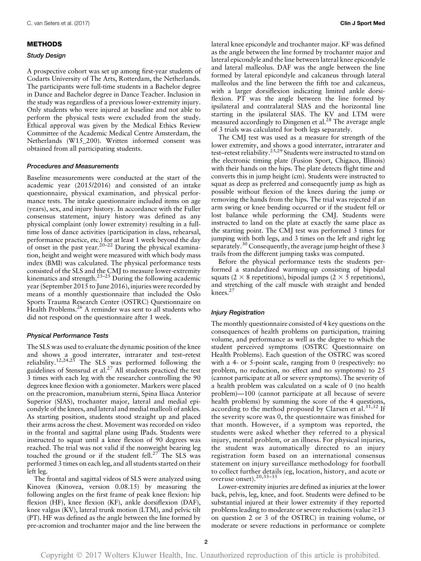## METHODS

#### Study Design

A prospective cohort was set up among first-year students of Codarts University of The Arts, Rotterdam, the Netherlands. The participants were full-time students in a Bachelor degree in Dance and Bachelor degree in Dance Teacher. Inclusion in the study was regardless of a previous lower-extremity injury. Only students who were injured at baseline and not able to perform the physical tests were excluded from the study. Ethical approval was given by the Medical Ethics Review Committee of the Academic Medical Centre Amsterdam, the Netherlands (W15\_200). Written informed consent was obtained from all participating students.

# Procedures and Measurements

Baseline measurements were conducted at the start of the academic year (2015/2016) and consisted of an intake questionnaire, physical examination, and physical performance tests. The intake questionnaire included items on age (years), sex, and injury history. In accordance with the Fuller consensus statement, injury history was defined as any physical complaint (only lower extremity) resulting in a fulltime loss of dance activities (participation in class, rehearsal, performance practice, etc.) for at least 1 week beyond the day of onset in the past year. $20-22$  During the physical examination, height and weight were measured with which body mass index (BMI) was calculated. The physical performance tests consisted of the SLS and the CMJ to measure lower-extremity kinematics and strength. $23-25$  During the following academic year (September 2015 to June 2016), injuries were recorded by means of a monthly questionnaire that included the Oslo Sports Trauma Research Center (OSTRC) Questionnaire on Health Problems.<sup>26</sup> A reminder was sent to all students who did not respond on the questionnaire after 1 week.

## Physical Performance Tests

The SLS was used to evaluate the dynamic position of the knee and shows a good interrater, intrarater and test–retest reliability.<sup>12,24,25</sup> The SLS was performed following the guidelines of Stensrud et al.<sup>27</sup> All students practiced the test 3 times with each leg with the researcher controlling the 90 degrees knee flexion with a goniometer. Markers were placed on the preacromion, manubrium sterni, Spina Iliaca Anterior Superior (SIAS), trochanter major, lateral and medial epicondyle of the knees, and lateral and medial malleoli of ankles. As starting position, students stood straight up and placed their arms across the chest. Movement was recorded on video in the frontal and sagittal plane using IPads. Students were instructed to squat until a knee flexion of 90 degrees was reached. The trial was not valid if the nonweight bearing leg touched the ground or if the student fell.<sup>27</sup> The SLS was performed 3 times on each leg, and all students started on their left leg.

The frontal and sagittal videos of SLS were analyzed using Kinovea (Kinovea, version 0.08.15) by measuring the following angles on the first frame of peak knee flexion: hip flexion (HF), knee flexion (KF), ankle dorsiflexion (DAF), knee valgus (KV), lateral trunk motion (LTM), and pelvic tilt (PT). HF was defined as the angle between the line formed by pre-acromion and trochanter major and the line between the

lateral knee epicondyle and trochanter major. KF was defined as the angle between the line formed by trochanter major and lateral epicondyle and the line between lateral knee epicondyle and lateral malleolus. DAF was the angle between the line formed by lateral epicondyle and calcaneus through lateral malleolus and the line between the fifth toe and calcaneus, with a larger dorsiflexion indicating limited ankle dorsiflexion. PT was the angle between the line formed by ipsilateral and contralateral SIAS and the horizontal line starting in the ipsilateral SIAS. The KV and LTM were measured accordingly to Dingenen et al.<sup>28</sup> The average angle of 3 trials was calculated for both legs separately.

The CMJ test was used as a measure for strength of the lower extremity, and shows a good interrater, intrarater and test–retest reliability.23,29 Students were instructed to stand on the electronic timing plate (Fusion Sport, Chigaco, Illinois) with their hands on the hips. The plate detects flight time and converts this in jump height (cm). Students were instructed to squat as deep as preferred and consequently jump as high as possible without flexion of the knees during the jump or removing the hands from the hips. The trial was rejected if an arm swing or knee bending occurred or if the student fell or lost balance while performing the CMJ. Students were instructed to land on the plate at exactly the same place as the starting point. The CMJ test was performed 3 times for jumping with both legs, and 3 times on the left and right leg separately.<sup>30</sup> Consequently, the average jump height of these  $\bar{3}$ trails from the different jumping tasks was computed.

Before the physical performance tests the students performed a standardized warming-up consisting of bipodal squats (2  $\times$  8 repetitions), bipodal jumps (2  $\times$  5 repetitions), and stretching of the calf muscle with straight and bended knees.<sup>27</sup>

# Injury Registration

The monthly questionnaire consisted of 4 key questions on the consequences of health problems on participation, training volume, and performance as well as the degree to which the student perceived symptoms (OSTRC Questionnaire on Health Problems). Each question of the OSTRC was scored with a 4- or 5-point scale, ranging from 0 (respectively: no problem, no reduction, no effect and no symptoms) to 25 (cannot participate at all or severe symptoms). The severity of a health problem was calculated on a scale of 0 (no health problem)—100 (cannot participate at all because of severe health problems) by summing the score of the 4 questions, according to the method proposed by Clarsen et al. $31,32$  If the severity score was 0, the questionnaire was finished for that month. However, if a symptom was reported, the students were asked whether they referred to a physical injury, mental problem, or an illness. For physical injuries, the student was automatically directed to an injury registration form based on an international consensus statement on injury surveillance methodology for football to collect further details (eg, location, history, and acute or overuse onset). $20,33-35$ 

Lower-extremity injuries are defined as injuries at the lower back, pelvis, leg, knee, and foot. Students were defined to be substantial injured at their lower extremity if they reported problems leading to moderate or severe reductions (value  $\geq$ 13 on question 2 or 3 of the OSTRC) in training volume, or moderate or severe reductions in performance or complete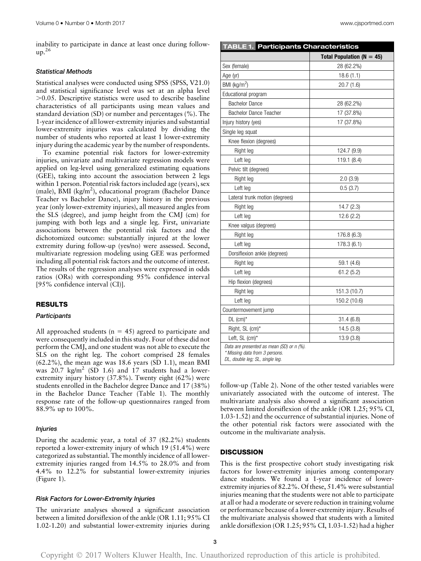inability to participate in dance at least once during followup.<sup>26</sup>

## Statistical Methods

Statistical analyses were conducted using SPSS (SPSS, V21.0) and statistical significance level was set at an alpha level .0.05. Descriptive statistics were used to describe baseline characteristics of all participants using mean values and standard deviation (SD) or number and percentages (%). The 1-year incidence of all lower-extremity injuries and substantial lower-extremity injuries was calculated by dividing the number of students who reported at least 1 lower-extremity injury during the academic year by the number of respondents.

To examine potential risk factors for lower-extremity injuries, univariate and multivariate regression models were applied on leg-level using generalized estimating equations (GEE), taking into account the association between 2 legs within 1 person. Potential risk factors included age (years), sex (male), BMI (kg/m<sup>2</sup>), educational program (Bachelor Dance Teacher vs Bachelor Dance), injury history in the previous year (only lower-extremity injuries), all measured angles from the SLS (degree), and jump height from the CMJ (cm) for jumping with both legs and a single leg. First, univariate associations between the potential risk factors and the dichotomized outcome: substantially injured at the lower extremity during follow-up (yes/no) were assessed. Second, multivariate regression modeling using GEE was performed including all potential risk factors and the outcome of interest. The results of the regression analyses were expressed in odds ratios (ORs) with corresponding 95% confidence interval [95% confidence interval (CI)].

# RESULTS

### **Participants**

All approached students ( $n = 45$ ) agreed to participate and were consequently included in this study. Four of these did not perform the CMJ, and one student was not able to execute the SLS on the right leg. The cohort comprised 28 females  $(62.2\%)$ , the mean age was 18.6 years (SD 1.1), mean BMI was 20.7 kg/m<sup>2</sup> (SD 1.6) and 17 students had a lowerextremity injury history (37.8%). Twenty eight (62%) were students enrolled in the Bachelor degree Dance and 17 (38%) in the Bachelor Dance Teacher (Table 1). The monthly response rate of the follow-up questionnaires ranged from 88.9% up to 100%.

#### Injuries

During the academic year, a total of 37 (82.2%) students reported a lower-extremity injury of which 19 (51.4%) were categorized as substantial. The monthly incidence of all lowerextremity injuries ranged from 14.5% to 28.0% and from 4.4% to 12.2% for substantial lower-extremity injuries (Figure 1).

### Risk Factors for Lower-Extremity Injuries

The univariate analyses showed a significant association between a limited dorsiflexion of the ankle (OR 1.11; 95% CI 1.02-1.20) and substantial lower-extremity injuries during

| <b>TABLE 1. Participants Characteristics</b>                                                                   |                               |  |  |  |
|----------------------------------------------------------------------------------------------------------------|-------------------------------|--|--|--|
|                                                                                                                | Total Population ( $N = 45$ ) |  |  |  |
| Sex (female)                                                                                                   | 28 (62.2%)                    |  |  |  |
| Age (yr)                                                                                                       | 18.6(1.1)                     |  |  |  |
| BMI (kg/m <sup>2</sup> )                                                                                       | 20.7(1.6)                     |  |  |  |
| Educational program                                                                                            |                               |  |  |  |
| <b>Bachelor Dance</b>                                                                                          | 28 (62.2%)                    |  |  |  |
| <b>Bachelor Dance Teacher</b>                                                                                  | 17 (37.8%)                    |  |  |  |
| Injury history (yes)                                                                                           | 17 (37.8%)                    |  |  |  |
| Single leg squat                                                                                               |                               |  |  |  |
| Knee flexion (degrees)                                                                                         |                               |  |  |  |
| Right leg                                                                                                      | 124.7 (9.9)                   |  |  |  |
| Left leg                                                                                                       | 119.1(8.4)                    |  |  |  |
| Pelvic tilt (degrees)                                                                                          |                               |  |  |  |
| Right leg                                                                                                      | 2.0(3.9)                      |  |  |  |
| Left leg                                                                                                       | 0.5(3.7)                      |  |  |  |
| Lateral trunk motion (degrees)                                                                                 |                               |  |  |  |
| Right leg                                                                                                      | 14.7 (2.3)                    |  |  |  |
| Left leg                                                                                                       | 12.6(2.2)                     |  |  |  |
| Knee valgus (degrees)                                                                                          |                               |  |  |  |
| Right leg                                                                                                      | 176.8 (6.3)                   |  |  |  |
| Left leg                                                                                                       | 178.3 (6.1)                   |  |  |  |
| Dorsiflexion ankle (degrees)                                                                                   |                               |  |  |  |
| Right leg                                                                                                      | 59.1 (4.6)                    |  |  |  |
| Left leg                                                                                                       | 61.2(5.2)                     |  |  |  |
| Hip flexion (degrees)                                                                                          |                               |  |  |  |
| Right leg                                                                                                      | 151.3 (10.7)                  |  |  |  |
| Left leg                                                                                                       | 150.2 (10.6)                  |  |  |  |
| Countermovement jump                                                                                           |                               |  |  |  |
| $DL$ (cm) <sup>*</sup>                                                                                         | 31.4(6.8)                     |  |  |  |
| Right, SL (cm)*                                                                                                | 14.5(3.8)                     |  |  |  |
| Left, SL (cm)*                                                                                                 | 13.9 (3.8)                    |  |  |  |
| Data are presented as mean (SD) or n (%).<br>* Missing data from 3 persons.<br>DL, double leg; SL, single leg. |                               |  |  |  |

follow-up (Table 2). None of the other tested variables were univariately associated with the outcome of interest. The multivariate analysis also showed a significant association between limited dorsiflexion of the ankle (OR 1.25; 95% CI, 1.03-1.52) and the occurrence of substantial injuries. None of the other potential risk factors were associated with the outcome in the multivariate analysis.

#### **DISCUSSION**

This is the first prospective cohort study investigating risk factors for lower-extremity injuries among contemporary dance students. We found a 1-year incidence of lowerextremity injuries of 82.2%. Of these, 51.4% were substantial injuries meaning that the students were not able to participate at all or had a moderate or severe reduction in training volume or performance because of a lower-extremity injury. Results of the multivariate analysis showed that students with a limited ankle dorsiflexion (OR 1.25; 95% CI, 1.03-1.52) had a higher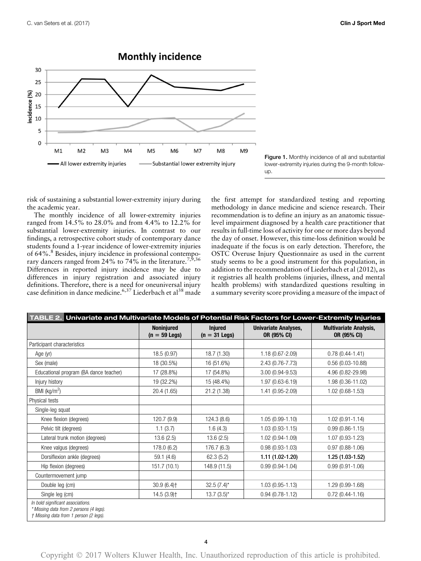





risk of sustaining a substantial lower-extremity injury during the academic year.

The monthly incidence of all lower-extremity injuries ranged from 14.5% to 28.0% and from 4.4% to 12.2% for substantial lower-extremity injuries. In contrast to our findings, a retrospective cohort study of contemporary dance students found a 1-year incidence of lower-extremity injuries of 64%.<sup>8</sup> Besides, injury incidence in professional contemporary dancers ranged from 24% to 74% in the literature.<sup>7,5,36</sup> Differences in reported injury incidence may be due to differences in injury registration and associated injury definitions. Therefore, there is a need for oneuniversal injury case definition in dance medicine.<sup>6,37</sup> Liederbach et al<sup>38</sup> made the first attempt for standardized testing and reporting methodology in dance medicine and science research. Their recommendation is to define an injury as an anatomic tissuelevel impairment diagnosed by a health care practitioner that results in full-time loss of activity for one or more days beyond the day of onset. However, this time-loss definition would be inadequate if the focus is on early detection. Therefore, the OSTC Overuse Injury Questionnaire as used in the current study seems to be a good instrument for this population, in addition to the recommendation of Liederbach et al (2012), as it registries all health problems (injuries, illness, and mental health problems) with standardized questions resulting in a summary severity score providing a measure of the impact of

| TABLE 2. Univariate and Multivariate Models of Potential Risk Factors for Lower-Extremity Injuries                     |                                              |                                           |                                            |                                              |  |
|------------------------------------------------------------------------------------------------------------------------|----------------------------------------------|-------------------------------------------|--------------------------------------------|----------------------------------------------|--|
|                                                                                                                        | <b>Noninjured</b><br>$(n = 59 \text{ Legs})$ | <b>Injured</b><br>$(n = 31 \text{ Legs})$ | <b>Univariate Analyses,</b><br>OR (95% CI) | <b>Multivariate Analysis,</b><br>OR (95% CI) |  |
| Participant characteristics                                                                                            |                                              |                                           |                                            |                                              |  |
| Age (yr)                                                                                                               | 18.5 (0.97)                                  | 18.7 (1.30)                               | 1.18 (0.67-2.09)                           | $0.78(0.44 - 1.41)$                          |  |
| Sex (male)                                                                                                             | 18 (30.5%)                                   | 16 (51.6%)                                | 2.43 (0.76-7.73)                           | $0.56(0.03 - 10.88)$                         |  |
| Educational program (BA dance teacher)                                                                                 | 17 (28.8%)                                   | 17 (54.8%)                                | 3.00 (0.94-9.53)                           | 4.96 (0.82-29.98)                            |  |
| Injury history                                                                                                         | 19 (32.2%)                                   | 15 (48.4%)                                | 1.97 (0.63-6.19)                           | 1.98 (0.36-11.02)                            |  |
| BMI ( $kg/m2$ )                                                                                                        | 20.4(1.65)                                   | 21.2(1.38)                                | 1.41 (0.95-2.09)                           | $1.02(0.68-1.53)$                            |  |
| Physical tests                                                                                                         |                                              |                                           |                                            |                                              |  |
| Single-leg squat                                                                                                       |                                              |                                           |                                            |                                              |  |
| Knee flexion (degrees)                                                                                                 | 120.7 (9.9)                                  | 124.3(8.6)                                | $1.05(0.99 - 1.10)$                        | $1.02(0.91 - 1.14)$                          |  |
| Pelvic tilt (degrees)                                                                                                  | 1.1(3.7)                                     | 1.6(4.3)                                  | $1.03(0.93 - 1.15)$                        | $0.99(0.86 - 1.15)$                          |  |
| Lateral trunk motion (degrees)                                                                                         | 13.6(2.5)                                    | 13.6(2.5)                                 | 1.02 (0.94-1.09)                           | 1.07 (0.93-1.23)                             |  |
| Knee valgus (degrees)                                                                                                  | 178.0 (6.2)                                  | 176.7(6.3)                                | $0.98(0.93 - 1.03)$                        | $0.97(0.88 - 1.06)$                          |  |
| Dorsiflexion ankle (degrees)                                                                                           | 59.1 (4.6)                                   | 62.3(5.2)                                 | 1.11 (1.02-1.20)                           | 1.25 (1.03-1.52)                             |  |
| Hip flexion (degrees)                                                                                                  | 151.7 (10.1)                                 | 148.9 (11.5)                              | $0.99(0.94 - 1.04)$                        | $0.99(0.91 - 1.06)$                          |  |
| Countermovement jump                                                                                                   |                                              |                                           |                                            |                                              |  |
| Double leg (cm)                                                                                                        | $30.9(6.4)$ <sup>+</sup>                     | $32.5 (7.4)^*$                            | $1.03(0.95 - 1.13)$                        | 1.29 (0.99-1.68)                             |  |
| Single leg (cm)                                                                                                        | $14.5(3.9)$ <sup>+</sup>                     | $13.7 (3.5)^*$                            | $0.94(0.78-1.12)$                          | $0.72(0.44 - 1.16)$                          |  |
| In bold significant associations.<br>* Missing data from 2 persons (4 legs).<br>† Missing data from 1 person (2 legs). |                                              |                                           |                                            |                                              |  |

Copyright 2017 Wolters Kluwer Health, Inc. Unauthorized reproduction of this article is prohibited.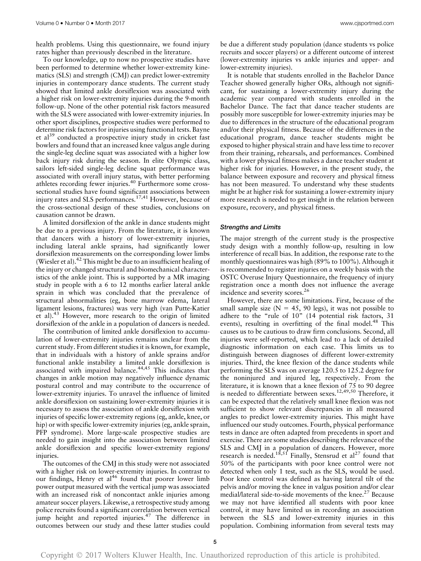health problems. Using this questionnaire, we found injury rates higher than previously described in the literature.

To our knowledge, up to now no prospective studies have been performed to determine whether lower-extremity kinematics (SLS) and strength (CMJ) can predict lower-extremity injuries in contemporary dance students. The current study showed that limited ankle dorsiflexion was associated with a higher risk on lower-extremity injuries during the 9-month follow-up. None of the other potential risk factors measured with the SLS were associated with lower-extremity injuries. In other sport disciplines, prospective studies were performed to determine risk factors for injuries using functional tests. Bayne et al<sup>39</sup> conducted a prospective injury study in cricket fast bowlers and found that an increased knee valgus angle during the single-leg decline squat was associated with a higher low back injury risk during the season. In elite Olympic class, sailors left-sided single-leg decline squat performance was associated with overall injury status, with better performing athletes recording fewer injuries.<sup>40</sup> Furthermore some crosssectional studies have found significant associations between injury rates and SLS performances.<sup>17,41</sup> However, because of the cross-sectional design of these studies, conclusions on causation cannot be drawn.

A limited dorsiflexion of the ankle in dance students might be due to a previous injury. From the literature, it is known that dancers with a history of lower-extremity injuries, including lateral ankle sprains, had significantly lower dorsiflexion measurements on the corresponding lower limbs (Wiesler et al).<sup>42</sup> This might be due to an insufficient healing of the injury or changed structural and biomechanical characteristics of the ankle joint. This is supported by a MR imaging study in people with a 6 to 12 months earlier lateral ankle sprain in which was concluded that the prevalence of structural abnormalities (eg, bone marrow edema, lateral ligament lesions, fractures) was very high (van Putte-Katier et al).43 However, more research to the origin of limited dorsiflexion of the ankle in a population of dancers is needed.

The contribution of limited ankle dorsiflexion to accumulation of lower-extremity injuries remains unclear from the current study. From different studies it is known, for example, that in individuals with a history of ankle sprains and/or functional ankle instability a limited ankle dorsiflexion is associated with impaired balance.<sup>44,45</sup> This indicates that changes in ankle motion may negatively influence dynamic postural control and may contribute to the occurrence of lower-extremity injuries. To unravel the influence of limited ankle dorsiflexion on sustaining lower-extremity injuries it is necessary to assess the association of ankle dorsiflexion with injuries of specific lower-extremity regions (eg, ankle, knee, or hip) or with specific lower-extremity injuries (eg, ankle sprain, PFP syndrome). More large-scale prospective studies are needed to gain insight into the association between limited ankle dorsiflexion and specific lower-extremity regions/ injuries.

The outcomes of the CMJ in this study were not associated with a higher risk on lower-extremity injuries. In contrast to our findings, Henry et al<sup>46</sup> found that poorer lower limb power output measured with the vertical jump was associated with an increased risk of noncontact ankle injuries among amateur soccer players. Likewise, a retrospective study among police recruits found a significant correlation between vertical jump height and reported injuries.<sup>47</sup> The difference in outcomes between our study and these latter studies could

be due a different study population (dance students vs police recruits and soccer players) or a different outcome of interest (lower-extremity injuries vs ankle injuries and upper- and lower-extremity injuries).

It is notable that students enrolled in the Bachelor Dance Teacher showed generally higher ORs, although not significant, for sustaining a lower-extremity injury during the academic year compared with students enrolled in the Bachelor Dance. The fact that dance teacher students are possibly more susceptible for lower-extremity injuries may be due to differences in the structure of the educational program and/or their physical fitness. Because of the differences in the educational program, dance teacher students might be exposed to higher physical strain and have less time to recover from their training, rehearsals, and performances. Combined with a lower physical fitness makes a dance teacher student at higher risk for injuries. However, in the present study, the balance between exposure and recovery and physical fitness has not been measured. To understand why these students might be at higher risk for sustaining a lower-extremity injury more research is needed to get insight in the relation between exposure, recovery, and physical fitness.

#### Strengths and Limits

The major strength of the current study is the prospective study design with a monthly follow-up, resulting in low interference of recall bias. In addition, the response rate to the monthly questionnaires was high (89% to 100%). Although it is recommended to register injuries on a weekly basis with the OSTC Overuse Injury Questionnaire, the frequency of injury registration once a month does not influence the average incidence and severity scores.<sup>26</sup>

However, there are some limitations. First, because of the small sample size ( $N = 45$ , 90 legs), it was not possible to adhere to the "rule of 10" (14 potential risk factors, 31 events), resulting in overfitting of the final model.<sup>48</sup> This causes us to be cautious to draw firm conclusions. Second, all injuries were self-reported, which lead to a lack of detailed diagnostic information on each case. This limits us to distinguish between diagnoses of different lower-extremity injuries. Third, the knee flexion of the dance students while performing the SLS was on average 120.5 to 125.2 degree for the noninjured and injured leg, respectively. From the literature, it is known that a knee flexion of 75 to 90 degree is needed to differentiate between sexes.<sup>12,49,50</sup> Therefore, it can be expected that the relatively small knee flexion was not sufficient to show relevant discrepancies in all measured angles to predict lower-extremity injuries. This might have influenced our study outcomes. Fourth, physical performance tests in dance are often adapted from precedents in sport and exercise. There are some studies describing the relevance of the SLS and CMJ in a population of dancers. However, more research is needed.<sup>18,51</sup> Finally, Stensrud et al<sup>27</sup> found that 50% of the participants with poor knee control were not detected when only 1 test, such as the SLS, would be used. Poor knee control was defined as having lateral tilt of the pelvis and/or moving the knee in valgus position and/or clear medial/lateral side-to-side movements of the knee.<sup>27</sup> Because we may not have identified all students with poor knee control, it may have limited us in recording an association between the SLS and lower-extremity injuries in this population. Combining information from several tests may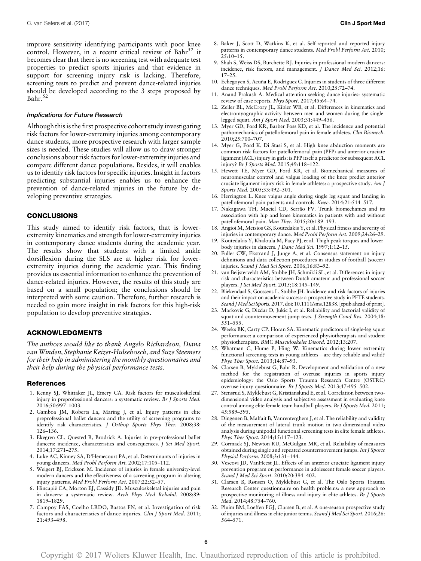improve sensitivity identifying participants with poor knee control. However, in a recent critical review of Bahr<sup>32</sup> it becomes clear that there is no screening test with adequate test properties to predict sports injuries and that evidence in support for screening injury risk is lacking. Therefore, screening tests to predict and prevent dance-related injuries should be developed according to the 3 steps proposed by Bahr.<sup>52</sup>

#### Implications for Future Research

Although this is the first prospective cohort study investigating risk factors for lower-extremity injuries among contemporary dance students, more prospective research with larger sample sizes is needed. These studies will allow us to draw stronger conclusions about risk factors for lower-extremity injuries and compare different dance populations. Besides, it will enables us to identify risk factors for specific injuries. Insight in factors predicting substantial injuries enables us to enhance the prevention of dance-related injuries in the future by developing preventive strategies.

# CONCLUSIONS

This study aimed to identify risk factors, that is lowerextremity kinematics and strength for lower-extremity injuries in contemporary dance students during the academic year. The results show that students with a limited ankle dorsiflexion during the SLS are at higher risk for lowerextremity injuries during the academic year. This finding provides us essential information to enhance the prevention of dance-related injuries. However, the results of this study are based on a small population; the conclusions should be interpreted with some caution. Therefore, further research is needed to gain more insight in risk factors for this high-risk population to develop preventive strategies.

### ACKNOWLEDGMENTS

The authors would like to thank Angelo Richardson, Diana van Winden, Stephanie Keizer-Hulsebosch, and Suze Steemers for their help in administering the monthly questionnaires and their help during the physical performance tests.

#### References

- 1. Kenny SJ, Whittaker JL, Emery CA. Risk factors for musculoskeletal injury in preprofessional dancers: a systematic review. Br J Sports Med. 2016;50:997–1003.
- 2. Gamboa JM, Roberts La, Maring J, et al. Injury patterns in elite preprofessional ballet dancers and the utility of screening programs to identify risk characteristics. J Orthop Sports Phys Ther. 2008;38: 126–136.
- 3. Ekegren CL, Quested R, Brodrick A. Injuries in pre-professional ballet dancers: incidence, characteristics and consequences. J Sci Med Sport. 2014;17:271–275.
- 4. Luke AC, Kinney SA, D'Hemecourt PA, et al. Determinants of injuries in young dancers. Med Probl Perform Art. 2002;17:105–112.
- 5. Weigert BJ, Erickson M. Incidence of injuries in female university-level modern dancers and the effectiveness of a screening program in altering injury patterns. Med Probl Perform Art. 2007;22:52–57.
- 6. Hincapie CA, Morton EJ, Cassidy JD. Musculoskeletal injuries and pain ´ in dancers: a systematic review. Arch Phys Med Rehabil. 2008;89: 1819–1829.
- 7. Campoy FAS, Coelho LRDO, Bastos FN, et al. Investigation of risk factors and characteristics of dance injuries. Clin J Sport Med. 2011; 21:493–498.
- 8. Baker J, Scott D, Watkins K, et al. Self-reported and reported injury patterns in contemporary dance students. Med Probl Perform Art. 2010; 25:10–15.
- 9. Shah S, Weiss DS, Burchette RJ. Injuries in professional modern dancers: incidence, risk factors, and management. J Dance Med Sci. 2012;16: 17–25.
- 10. Echegoyen S, Acuña E, Rodríguez C. Injuries in students of three different dance techniques. Med Probl Perform Art. 2010;25:72–74.
- 11. Anand Prakash A. Medical attention seeking dance injuries: systematic review of case reports. Phys Sport. 2017;45:64–74.
- 12. Zeller BL, McCrory JL, Kibler WB, et al. Differences in kinematics and electromyographic activity between men and women during the singlelegged squat. Am J Sport Med. 2003;31:449–456.
- 13. Myer GD, Ford KR, Barber Foss KD, et al. The incidence and potential pathomechanics of patellofemoral pain in female athletes. Clin Biomech. 2010;25:700–707.
- 14. Myer G, Ford K, Di Stasi S, et al. High knee abduction moments are common risk factors for patellofemoral pain (PFP) and anterior cruciate ligament (ACL) injury in girls: is PFP itself a predictor for subsequent ACL injury? Br J Sports Med. 2015;49:118–122.
- 15. Hewett TE, Myer GD, Ford KR, et al. Biomechanical measures of neuromuscular control and valgus loading of the knee predict anterior cruciate ligament injury risk in female athletes: a prospective study. Am J Sports Med. 2005;33:492–501.
- 16. Herrington L. Knee valgus angle during single leg squat and landing in patellofemoral pain patients and controls. Knee. 2014;21:514–517.
- 17. Nakagawa TH, Maciel CD, Serrão FV. Trunk biomechanics and its association with hip and knee kinematics in patients with and without patellofemoral pain. Man Ther. 2015;20:189–193.
- 18. Angioi M, Metsios GS, Koutedakis Y, et al. Physical fitness and severity of injuries in contemporary dance. Med Probl Perform Art. 2009;24:26–29.
- 19. Koutedakis Y, Khaloula M, Pacy PJ, et al. Thigh peak torques and lowerbody injuries in dancers. J Danc Med Sci. 1997;1:12–15.
- 20. Fuller CW, Ekstrand J, Junge A, et al. Consensus statement on injury definitions and data collection procedures in studies of football (soccer) injuries. Scand J Med Sci Sport. 2006;16:83–92.
- 21. van Beijsterveldt AM, Stubbe JH, Schmikli SL, et al. Differences in injury risk and characteristics between Dutch amateur and professional soccer players. J Sci Med Sport. 2015;18:145–149.
- 22. Bliekendaal S, Goossens L, Stubbe JH. Incidence and risk factors of injuries and their impact on academic success: a prospective study in PETE students. Scand J Med Sci Sports. 2017. doi: 10.1111/sms.12838. [epub ahead of print].
- 23. Markovic G, Dizdar D, Jukic I, et al. Reliability and factorial validity of squat and countermovement jump tests. *J Strength Cond Res*. 2004;18: 551–555.
- 24. Weeks BK, Carty CP, Horan SA. Kinematic predictors of single-leg squat performance: a comparison of experienced physiotherapists and student physiotherapists. BMC Musculoskelet Disord. 2012;13:207.
- 25. Whatman C, Hume P, Hing W. Kinematics during lower extremity functional screening tests in young athletes—are they reliable and valid? Phys Ther Sport. 2013;14:87–93.
- 26. Clarsen B, Myklebust G, Bahr R. Development and validation of a new method for the registration of overuse injuries in sports injury epidemiology: the Oslo Sports Trauma Research Centre (OSTRC) overuse injury questionnaire. Br J Sports Med. 2013;47:495–502.
- 27. Stensrud S, Myklebust G, Kristianslund E, et al. Correlation between twodimensional video analysis and subjective assessment in evaluating knee control among elite female team handball players. Br J Sports Med. 2011; 45:589–595.
- 28. Dingenen B, Malfait B, Vanrenterghem J, et al. The reliability and validity of the measurement of lateral trunk motion in two-dimensional video analysis during unipodal functional screening tests in elite female athletes. Phys Ther Sport. 2014;15:117–123.
- 29. Cormack SJ, Newton RU, McGulgan MR, et al. Reliability of measures obtained during single and repeated countermovement jumps. Int J Sports Physiol Perform. 2008;3:131–144.
- 30. Vescovi JD, VanHeest JL. Effects of an anterior cruciate ligament injury prevention program on performance in adolescent female soccer players. Scand J Med Sci Sport. 2010;20:394–402.
- 31. Clarsen B, Rønsen O, Myklebust G, et al. The Oslo Sports Trauma Research Center questionnaire on health problems: a new approach to prospective monitoring of illness and injury in elite athletes. Br J Sports Med. 2014;48:754–760.
- 32. Pluim BM, Loeffen FGJ, Clarsen B, et al. A one-season prospective study of injuries and illness in elite junior tennis. Scand J Med Sci Sport. 2016;26: 564–571.